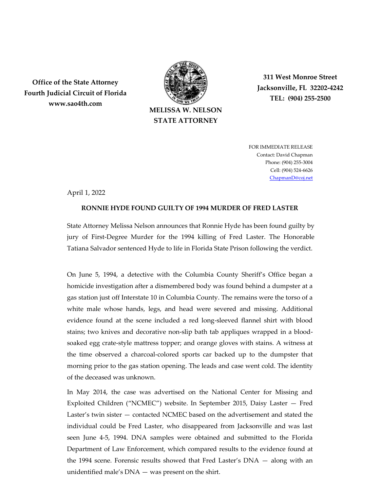

**STATE ATTORNEY**

**311 West Monroe Street Jacksonville, FL 32202-4242 TEL: (904) 255-2500**

**Office of the State Attorney Fourth Judicial Circuit of Florida www.sao4th.com**

> FOR IMMEDIATE RELEASE Contact: David Chapman Phone: (904) 255-3004 Cell: (904) 524-6626 [ChapmanD@coj.net](mailto:ChapmanD@coj.net)

April 1, 2022

## **RONNIE HYDE FOUND GUILTY OF 1994 MURDER OF FRED LASTER**

State Attorney Melissa Nelson announces that Ronnie Hyde has been found guilty by jury of First-Degree Murder for the 1994 killing of Fred Laster. The Honorable Tatiana Salvador sentenced Hyde to life in Florida State Prison following the verdict.

On June 5, 1994, a detective with the Columbia County Sheriff's Office began a homicide investigation after a dismembered body was found behind a dumpster at a gas station just off Interstate 10 in Columbia County. The remains were the torso of a white male whose hands, legs, and head were severed and missing. Additional evidence found at the scene included a red long-sleeved flannel shirt with blood stains; two knives and decorative non-slip bath tab appliques wrapped in a bloodsoaked egg crate-style mattress topper; and orange gloves with stains. A witness at the time observed a charcoal-colored sports car backed up to the dumpster that morning prior to the gas station opening. The leads and case went cold. The identity of the deceased was unknown.

In May 2014, the case was advertised on the National Center for Missing and Exploited Children ("NCMEC") website. In September 2015, Daisy Laster — Fred Laster's twin sister — contacted NCMEC based on the advertisement and stated the individual could be Fred Laster, who disappeared from Jacksonville and was last seen June 4-5, 1994. DNA samples were obtained and submitted to the Florida Department of Law Enforcement, which compared results to the evidence found at the 1994 scene. Forensic results showed that Fred Laster's DNA — along with an unidentified male's DNA — was present on the shirt.